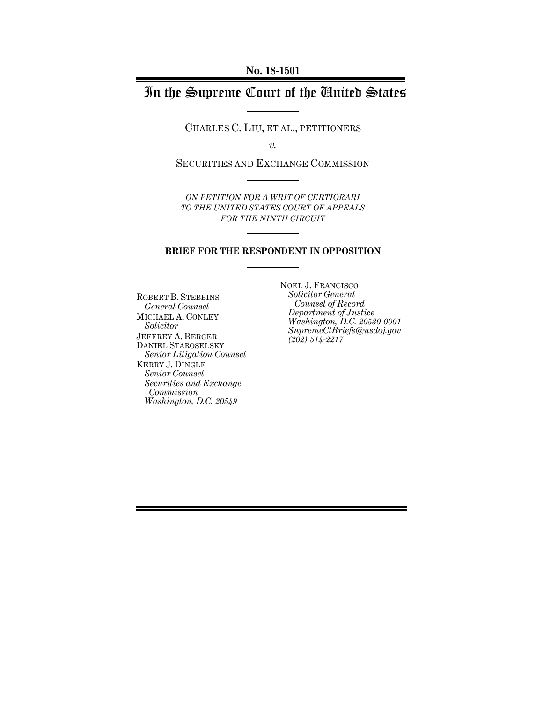# In the Supreme Court of the United States

CHARLES C. LIU, ET AL., PETITIONERS

*v.*

SECURITIES AND EXCHANGE COMMISSION

*ON PETITION FOR A WRIT OF CERTIORARI TO THE UNITED STATES COURT OF APPEALS FOR THE NINTH CIRCUIT*

#### **BRIEF FOR THE RESPONDENT IN OPPOSITION**

ROBERT B. STEBBINS *General Counsel* MICHAEL A. CONLEY *Solicitor* JEFFREY A. BERGER DANIEL STAROSELSKY *Senior Litigation Counsel* KERRY J. DINGLE *Senior Counsel Securities and Exchange Commission Washington, D.C. 20549*

NOEL J. FRANCISCO *Solicitor General Counsel of Record Department of Justice Washington, D.C. 20530-0001 SupremeCtBriefs@usdoj.gov (202) 514-2217*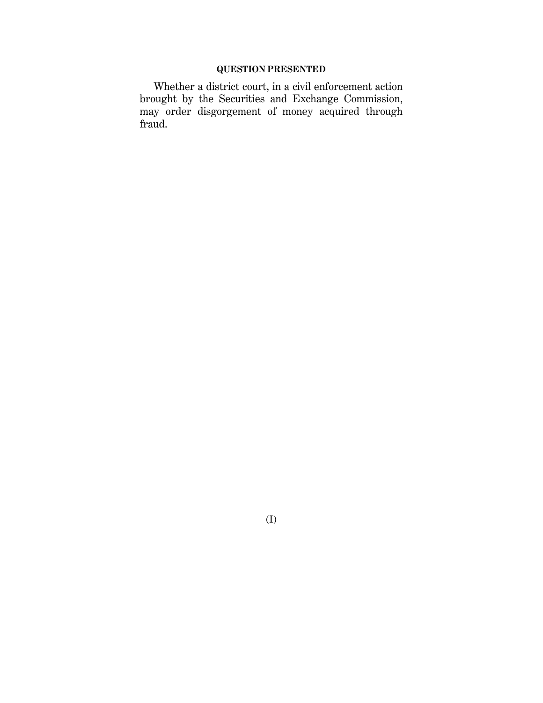### **QUESTION PRESENTED**

Whether a district court, in a civil enforcement action brought by the Securities and Exchange Commission, may order disgorgement of money acquired through fraud.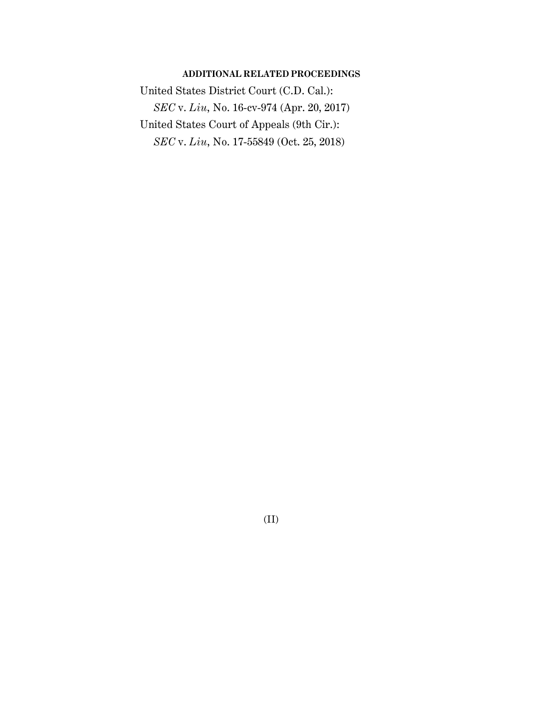### **ADDITIONAL RELATED PROCEEDINGS**

United States District Court (C.D. Cal.): *SEC* v. *Liu*, No. 16-cv-974 (Apr. 20, 2017) United States Court of Appeals (9th Cir.): *SEC* v. *Liu*, No. 17-55849 (Oct. 25, 2018)

(II)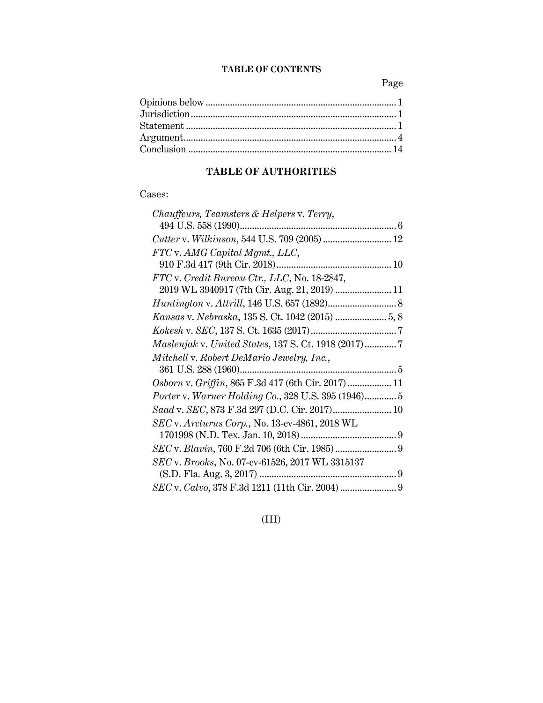## **TABLE OF CONTENTS**

Page

## **TABLE OF AUTHORITIES**

## Cases:

| Chauffeurs, Teamsters & Helpers v. Terry,           |  |
|-----------------------------------------------------|--|
|                                                     |  |
|                                                     |  |
| FTC v. AMG Capital Mgmt., LLC,                      |  |
|                                                     |  |
| FTC v. Credit Bureau Ctr., LLC, No. 18-2847,        |  |
| 2019 WL 3940917 (7th Cir. Aug. 21, 2019)  11        |  |
|                                                     |  |
|                                                     |  |
|                                                     |  |
| Maslenjak v. United States, 137 S. Ct. 1918 (2017)7 |  |
| Mitchell v. Robert DeMario Jewelry, Inc.,           |  |
|                                                     |  |
| Osborn v. Griffin, 865 F.3d 417 (6th Cir. 2017) 11  |  |
| Porter v. Warner Holding Co., 328 U.S. 395 (1946) 5 |  |
| Saad v. SEC, 873 F.3d 297 (D.C. Cir. 2017) 10       |  |
| SEC v. Arcturus Corp., No. 13-cv-4861, 2018 WL      |  |
|                                                     |  |
|                                                     |  |
| SEC v. Brooks, No. 07-cv-61526, 2017 WL 3315137     |  |
|                                                     |  |
|                                                     |  |

(III)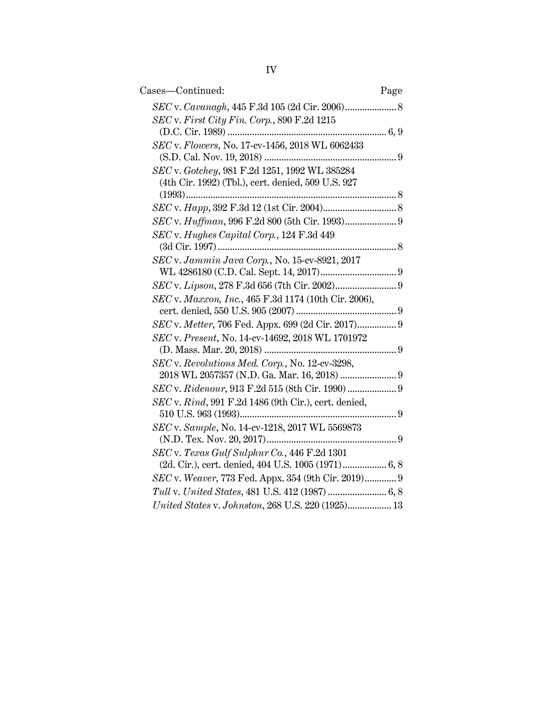| Cases-Continued:                                     | Page |
|------------------------------------------------------|------|
|                                                      |      |
| $SEC$ v. First City Fin. Corp., 890 F.2d 1215        |      |
|                                                      |      |
| SEC v. Flowers, No. 17-cv-1456, 2018 WL 6062433      |      |
|                                                      |      |
| SEC v. Gotchey, 981 F.2d 1251, 1992 WL 385284        |      |
| (4th Cir. 1992) (Tbl.), cert. denied, 509 U.S. 927   |      |
|                                                      |      |
|                                                      |      |
| SEC v. Huffman, 996 F.2d 800 (5th Cir. 1993) 9       |      |
| SEC v. Hughes Capital Corp., 124 F.3d 449            |      |
|                                                      |      |
| SEC v. Jammin Java Corp., No. 15-cv-8921, 2017       |      |
|                                                      |      |
|                                                      |      |
| SEC v. Maxxon, Inc., 465 F.3d 1174 (10th Cir. 2006), |      |
| SEC v. Metter, 706 Fed. Appx. 699 (2d Cir. 2017) 9   |      |
| SEC v. Present, No. 14-cv-14692, 2018 WL 1701972     |      |
|                                                      |      |
| SEC v. Revolutions Med. Corp., No. 12-cv-3298,       |      |
|                                                      |      |
| SEC v. Ridenour, 913 F.2d 515 (8th Cir. 1990)  9     |      |
| SEC v. Rind, 991 F.2d 1486 (9th Cir.), cert. denied, |      |
|                                                      |      |
| SEC v. Sample, No. 14-cv-1218, 2017 WL 5569873       |      |
|                                                      |      |
| SEC v. Texas Gulf Sulphur Co., 446 F.2d 1301         |      |
| (2d. Cir.), cert. denied, 404 U.S. 1005 (1971) 6, 8  |      |
| SEC v. Weaver, 773 Fed. Appx. 354 (9th Cir. 2019) 9  |      |
|                                                      |      |
| United States v. Johnston, 268 U.S. 220 (1925) 13    |      |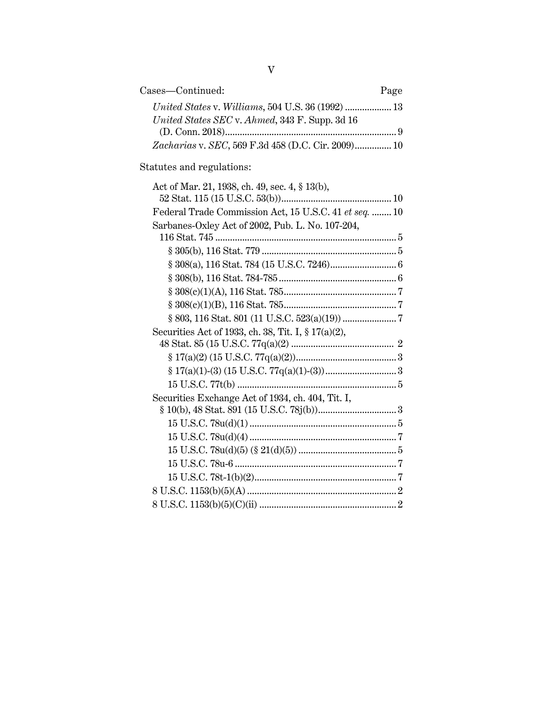| Cases-Continued:                                   | Page |
|----------------------------------------------------|------|
|                                                    |      |
| United States SEC v. Ahmed, 343 F. Supp. 3d 16     |      |
|                                                    |      |
| Zacharias v. SEC, 569 F.3d 458 (D.C. Cir. 2009) 10 |      |

Statutes and regulations:

| Act of Mar. 21, 1938, ch. 49, sec. 4, § 13(b),         |
|--------------------------------------------------------|
|                                                        |
| Federal Trade Commission Act, 15 U.S.C. 41 et seq.  10 |
| Sarbanes-Oxley Act of 2002, Pub. L. No. 107-204,       |
|                                                        |
| $§ 305(b), 116 \text{ Stat.} 779 \dots 779 \dots 75$   |
|                                                        |
|                                                        |
|                                                        |
|                                                        |
|                                                        |
| Securities Act of 1933, ch. 38, Tit. I, § 17(a)(2),    |
|                                                        |
|                                                        |
|                                                        |
|                                                        |
| Securities Exchange Act of 1934, ch. 404, Tit. I,      |
|                                                        |
|                                                        |
|                                                        |
|                                                        |
|                                                        |
|                                                        |
|                                                        |
|                                                        |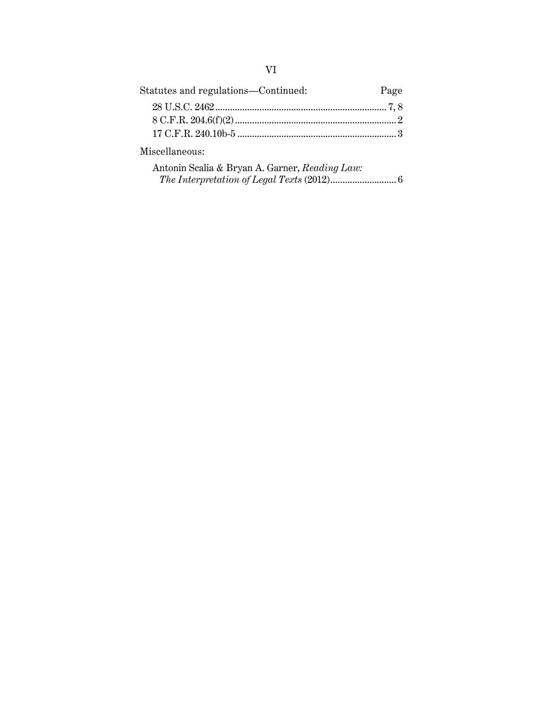## VI

| Page |
|------|
|      |
|      |
|      |
|      |

Miscellaneous:

| Antonin Scalia & Bryan A. Garner, Reading Law: |  |
|------------------------------------------------|--|
|                                                |  |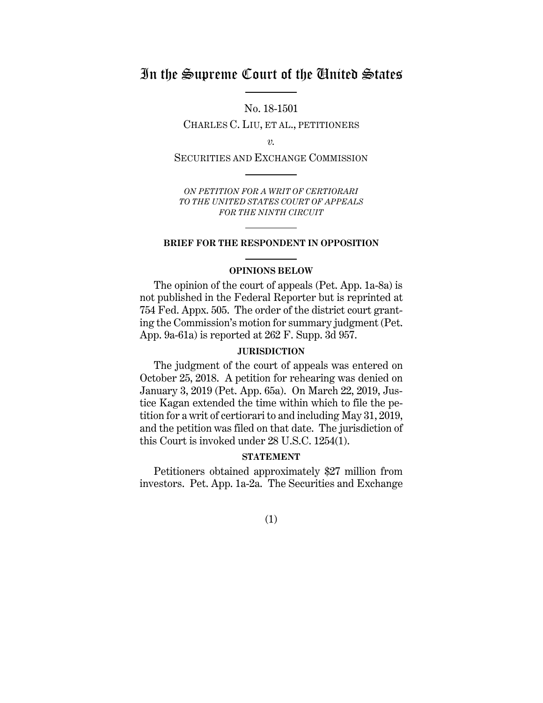## In the Supreme Court of the United States

No. 18-1501 CHARLES C. LIU, ET AL., PETITIONERS

*v.*

SECURITIES AND EXCHANGE COMMISSION

*ON PETITION FOR A WRIT OF CERTIORARI TO THE UNITED STATES COURT OF APPEALS FOR THE NINTH CIRCUIT* 

#### **BRIEF FOR THE RESPONDENT IN OPPOSITION**

### **OPINIONS BELOW**

The opinion of the court of appeals (Pet. App. 1a-8a) is not published in the Federal Reporter but is reprinted at 754 Fed. Appx. 505. The order of the district court granting the Commission's motion for summary judgment (Pet. App. 9a-61a) is reported at 262 F. Supp. 3d 957.

### **JURISDICTION**

The judgment of the court of appeals was entered on October 25, 2018. A petition for rehearing was denied on January 3, 2019 (Pet. App. 65a). On March 22, 2019, Justice Kagan extended the time within which to file the petition for a writ of certiorari to and including May 31, 2019, and the petition was filed on that date. The jurisdiction of this Court is invoked under 28 U.S.C. 1254(1).

### **STATEMENT**

Petitioners obtained approximately \$27 million from investors. Pet. App. 1a-2a. The Securities and Exchange

(1)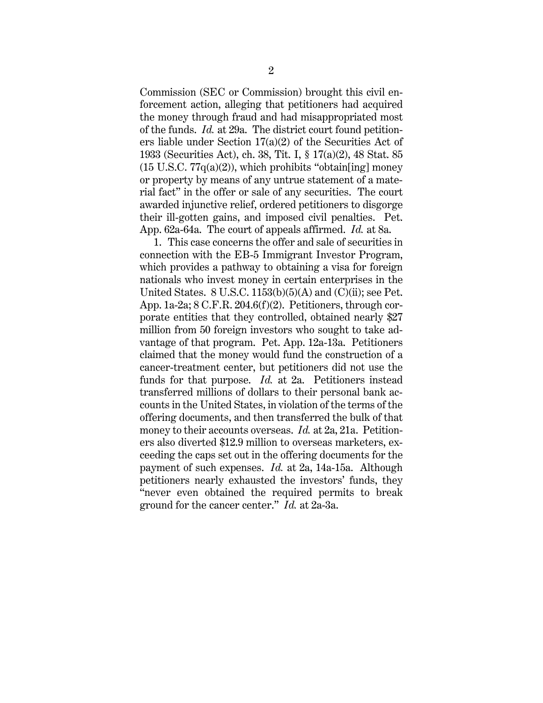Commission (SEC or Commission) brought this civil enforcement action, alleging that petitioners had acquired the money through fraud and had misappropriated most of the funds. *Id.* at 29a. The district court found petitioners liable under Section 17(a)(2) of the Securities Act of 1933 (Securities Act), ch. 38, Tit. I, § 17(a)(2), 48 Stat. 85  $(15 \text{ U.S.C. } 77q(a)(2))$ , which prohibits "obtain [ing] money or property by means of any untrue statement of a material fact" in the offer or sale of any securities. The court awarded injunctive relief, ordered petitioners to disgorge their ill-gotten gains, and imposed civil penalties. Pet. App. 62a-64a. The court of appeals affirmed. *Id.* at 8a.

1. This case concerns the offer and sale of securities in connection with the EB-5 Immigrant Investor Program, which provides a pathway to obtaining a visa for foreign nationals who invest money in certain enterprises in the United States.  $8$  U.S.C. 1153(b)(5)(A) and (C)(ii); see Pet. App. 1a-2a; 8 C.F.R. 204.6(f)(2). Petitioners, through corporate entities that they controlled, obtained nearly \$27 million from 50 foreign investors who sought to take advantage of that program. Pet. App. 12a-13a. Petitioners claimed that the money would fund the construction of a cancer-treatment center, but petitioners did not use the funds for that purpose. *Id.* at 2a. Petitioners instead transferred millions of dollars to their personal bank accounts in the United States, in violation of the terms of the offering documents, and then transferred the bulk of that money to their accounts overseas. *Id.* at 2a, 21a. Petitioners also diverted \$12.9 million to overseas marketers, exceeding the caps set out in the offering documents for the payment of such expenses. *Id.* at 2a, 14a-15a. Although petitioners nearly exhausted the investors' funds, they "never even obtained the required permits to break ground for the cancer center." *Id.* at 2a-3a.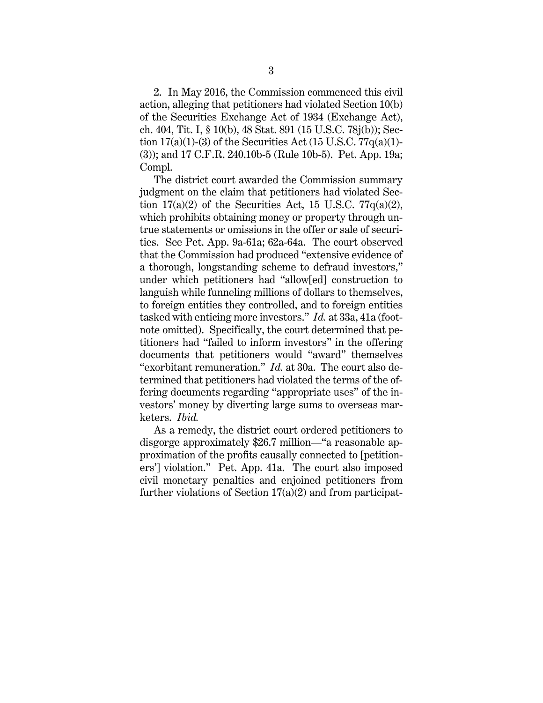2. In May 2016, the Commission commenced this civil action, alleging that petitioners had violated Section 10(b) of the Securities Exchange Act of 1934 (Exchange Act), ch. 404, Tit. I, § 10(b), 48 Stat. 891 (15 U.S.C. 78j(b)); Section  $17(a)(1)-(3)$  of the Securities Act  $(15 \text{ U.S. C. } 77q(a)(1)$ -(3)); and 17 C.F.R. 240.10b-5 (Rule 10b-5). Pet. App. 19a; Compl.

The district court awarded the Commission summary judgment on the claim that petitioners had violated Section  $17(a)(2)$  of the Securities Act, 15 U.S.C.  $77q(a)(2)$ , which prohibits obtaining money or property through untrue statements or omissions in the offer or sale of securities. See Pet. App. 9a-61a; 62a-64a. The court observed that the Commission had produced "extensive evidence of a thorough, longstanding scheme to defraud investors," under which petitioners had "allow[ed] construction to languish while funneling millions of dollars to themselves, to foreign entities they controlled, and to foreign entities tasked with enticing more investors." *Id.* at 33a, 41a (footnote omitted). Specifically, the court determined that petitioners had "failed to inform investors" in the offering documents that petitioners would "award" themselves "exorbitant remuneration." *Id.* at 30a. The court also determined that petitioners had violated the terms of the offering documents regarding "appropriate uses" of the investors' money by diverting large sums to overseas marketers. *Ibid.*

As a remedy, the district court ordered petitioners to disgorge approximately \$26.7 million—"a reasonable approximation of the profits causally connected to [petitioners'] violation." Pet. App. 41a. The court also imposed civil monetary penalties and enjoined petitioners from further violations of Section  $17(a)(2)$  and from participat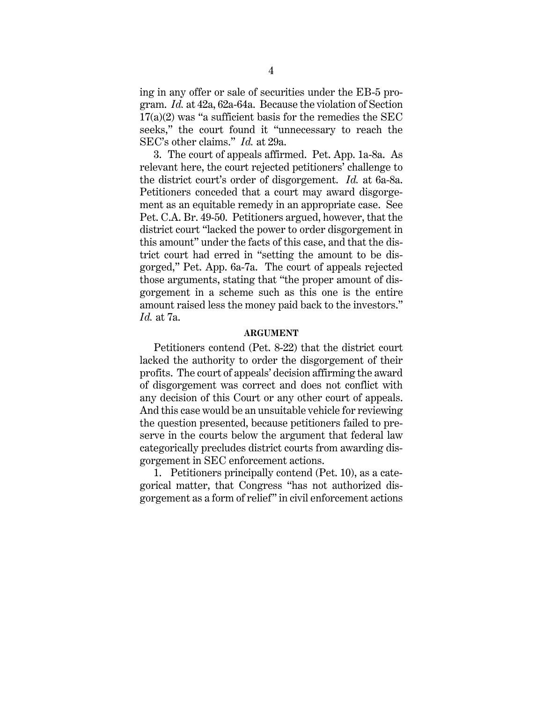ing in any offer or sale of securities under the EB-5 program. *Id.* at 42a, 62a-64a. Because the violation of Section  $17(a)(2)$  was "a sufficient basis for the remedies the SEC seeks," the court found it "unnecessary to reach the SEC's other claims." *Id.* at 29a.

3. The court of appeals affirmed. Pet. App. 1a-8a. As relevant here, the court rejected petitioners' challenge to the district court's order of disgorgement. *Id.* at 6a-8a. Petitioners conceded that a court may award disgorgement as an equitable remedy in an appropriate case. See Pet. C.A. Br. 49-50. Petitioners argued, however, that the district court "lacked the power to order disgorgement in this amount" under the facts of this case, and that the district court had erred in "setting the amount to be disgorged," Pet. App. 6a-7a. The court of appeals rejected those arguments, stating that "the proper amount of disgorgement in a scheme such as this one is the entire amount raised less the money paid back to the investors." *Id.* at 7a.

#### **ARGUMENT**

Petitioners contend (Pet. 8-22) that the district court lacked the authority to order the disgorgement of their profits. The court of appeals' decision affirming the award of disgorgement was correct and does not conflict with any decision of this Court or any other court of appeals. And this case would be an unsuitable vehicle for reviewing the question presented, because petitioners failed to preserve in the courts below the argument that federal law categorically precludes district courts from awarding disgorgement in SEC enforcement actions.

1. Petitioners principally contend (Pet. 10), as a categorical matter, that Congress "has not authorized disgorgement as a form of relief" in civil enforcement actions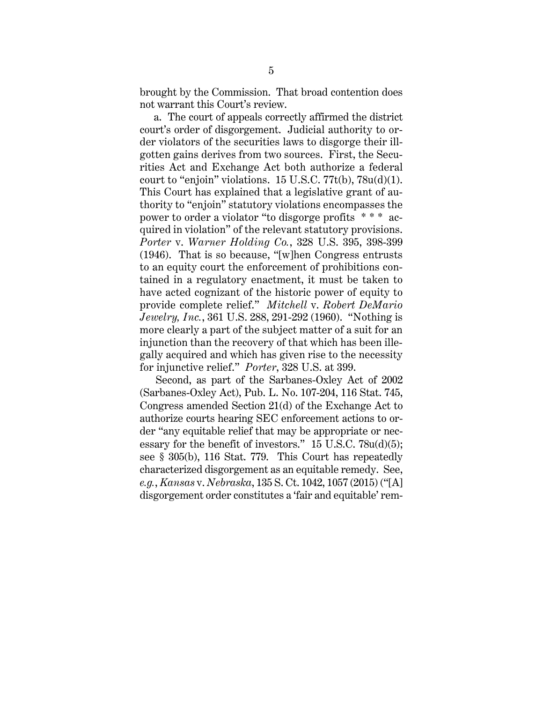brought by the Commission. That broad contention does not warrant this Court's review.

a. The court of appeals correctly affirmed the district court's order of disgorgement. Judicial authority to order violators of the securities laws to disgorge their illgotten gains derives from two sources. First, the Securities Act and Exchange Act both authorize a federal court to "enjoin" violations.  $15 \text{ U.S.C.} 77t(b)$ ,  $78u(d)(1)$ . This Court has explained that a legislative grant of authority to "enjoin" statutory violations encompasses the power to order a violator "to disgorge profits \* \* \* acquired in violation" of the relevant statutory provisions. *Porter* v. *Warner Holding Co.*, 328 U.S. 395, 398-399 (1946). That is so because, "[w]hen Congress entrusts to an equity court the enforcement of prohibitions contained in a regulatory enactment, it must be taken to have acted cognizant of the historic power of equity to provide complete relief." *Mitchell* v. *Robert DeMario Jewelry, Inc.*, 361 U.S. 288, 291-292 (1960). "Nothing is more clearly a part of the subject matter of a suit for an injunction than the recovery of that which has been illegally acquired and which has given rise to the necessity for injunctive relief." *Porter*, 328 U.S. at 399.

Second, as part of the Sarbanes-Oxley Act of 2002 (Sarbanes-Oxley Act), Pub. L. No. 107-204, 116 Stat. 745, Congress amended Section 21(d) of the Exchange Act to authorize courts hearing SEC enforcement actions to order "any equitable relief that may be appropriate or necessary for the benefit of investors." 15 U.S.C. 78u(d)(5); see § 305(b), 116 Stat. 779. This Court has repeatedly characterized disgorgement as an equitable remedy. See, *e.g.*, *Kansas* v. *Nebraska*, 135 S. Ct. 1042, 1057 (2015) ("[A] disgorgement order constitutes a 'fair and equitable' rem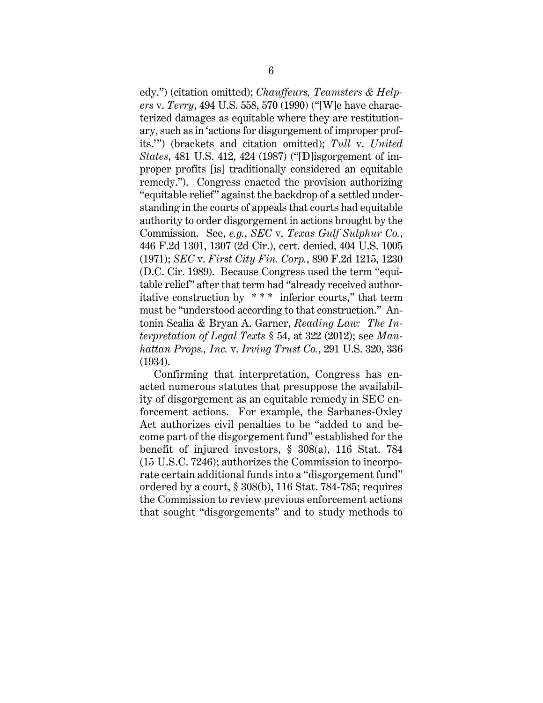edy.") (citation omitted); *Chauffeurs, Teamsters & Helpers* v. *Terry*, 494 U.S. 558, 570 (1990) ("[W]e have characterized damages as equitable where they are restitutionary, such as in 'actions for disgorgement of improper profits.'") (brackets and citation omitted); *Tull* v. *United States*, 481 U.S. 412, 424 (1987) ("[D]isgorgement of improper profits [is] traditionally considered an equitable remedy."). Congress enacted the provision authorizing "equitable relief" against the backdrop of a settled understanding in the courts of appeals that courts had equitable authority to order disgorgement in actions brought by the Commission. See, *e.g.*, *SEC* v. *Texas Gulf Sulphur Co.*, 446 F.2d 1301, 1307 (2d Cir.), cert. denied, 404 U.S. 1005 (1971); *SEC* v. *First City Fin. Corp.*, 890 F.2d 1215, 1230 (D.C. Cir. 1989). Because Congress used the term "equitable relief" after that term had "already received authoritative construction by  $***$  inferior courts," that term must be "understood according to that construction." Antonin Scalia & Bryan A. Garner, *Reading Law: The Interpretation of Legal Texts* § 54, at 322 (2012); see *Manhattan Props., Inc.* v. *Irving Trust Co.*, 291 U.S. 320, 336 (1934).

Confirming that interpretation, Congress has enacted numerous statutes that presuppose the availability of disgorgement as an equitable remedy in SEC enforcement actions. For example, the Sarbanes-Oxley Act authorizes civil penalties to be "added to and become part of the disgorgement fund" established for the benefit of injured investors, § 308(a), 116 Stat. 784 (15 U.S.C. 7246); authorizes the Commission to incorporate certain additional funds into a "disgorgement fund" ordered by a court, § 308(b), 116 Stat. 784-785; requires the Commission to review previous enforcement actions that sought "disgorgements" and to study methods to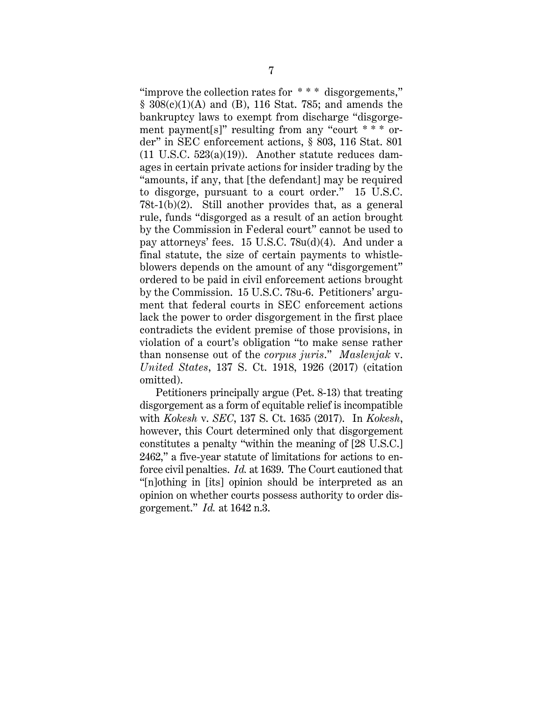"improve the collection rates for \* \* \* disgorgements," § 308(c)(1)(A) and (B), 116 Stat. 785; and amends the bankruptcy laws to exempt from discharge "disgorgement payment[s]" resulting from any "court \* \* \* order" in SEC enforcement actions, § 803, 116 Stat. 801 (11 U.S.C. 523(a)(19)). Another statute reduces damages in certain private actions for insider trading by the "amounts, if any, that [the defendant] may be required to disgorge, pursuant to a court order." 15 U.S.C. 78t-1(b)(2). Still another provides that, as a general rule, funds "disgorged as a result of an action brought by the Commission in Federal court" cannot be used to pay attorneys' fees. 15 U.S.C. 78u(d)(4). And under a final statute, the size of certain payments to whistleblowers depends on the amount of any "disgorgement" ordered to be paid in civil enforcement actions brought by the Commission. 15 U.S.C. 78u-6. Petitioners' argument that federal courts in SEC enforcement actions lack the power to order disgorgement in the first place contradicts the evident premise of those provisions, in violation of a court's obligation "to make sense rather than nonsense out of the *corpus juris*." *Maslenjak* v. *United States*, 137 S. Ct. 1918, 1926 (2017) (citation omitted).

Petitioners principally argue (Pet. 8-13) that treating disgorgement as a form of equitable relief is incompatible with *Kokesh* v. *SEC*, 137 S. Ct. 1635 (2017). In *Kokesh*, however, this Court determined only that disgorgement constitutes a penalty "within the meaning of [28 U.S.C.] 2462," a five-year statute of limitations for actions to enforce civil penalties. *Id.* at 1639. The Court cautioned that "[n]othing in [its] opinion should be interpreted as an opinion on whether courts possess authority to order disgorgement." *Id.* at 1642 n.3.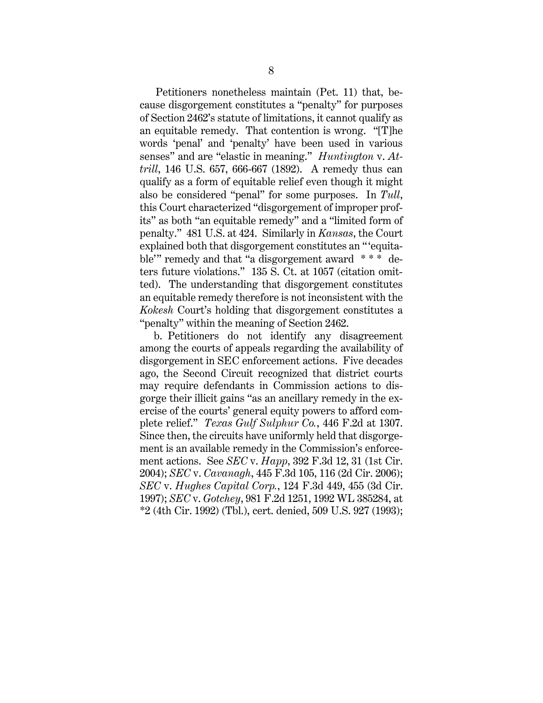Petitioners nonetheless maintain (Pet. 11) that, because disgorgement constitutes a "penalty" for purposes of Section 2462's statute of limitations, it cannot qualify as an equitable remedy. That contention is wrong. "[T]he words 'penal' and 'penalty' have been used in various senses" and are "elastic in meaning." *Huntington* v. *Attrill*, 146 U.S. 657, 666-667 (1892). A remedy thus can qualify as a form of equitable relief even though it might also be considered "penal" for some purposes. In *Tull*, this Court characterized "disgorgement of improper profits" as both "an equitable remedy" and a "limited form of penalty." 481 U.S. at 424. Similarly in *Kansas*, the Court explained both that disgorgement constitutes an "equitable'" remedy and that "a disgorgement award \* \* \* deters future violations." 135 S. Ct. at 1057 (citation omitted). The understanding that disgorgement constitutes an equitable remedy therefore is not inconsistent with the *Kokesh* Court's holding that disgorgement constitutes a "penalty" within the meaning of Section 2462.

b. Petitioners do not identify any disagreement among the courts of appeals regarding the availability of disgorgement in SEC enforcement actions. Five decades ago, the Second Circuit recognized that district courts may require defendants in Commission actions to disgorge their illicit gains "as an ancillary remedy in the exercise of the courts' general equity powers to afford complete relief." *Texas Gulf Sulphur Co.*, 446 F.2d at 1307. Since then, the circuits have uniformly held that disgorgement is an available remedy in the Commission's enforcement actions. See *SEC* v. *Happ*, 392 F.3d 12, 31 (1st Cir. 2004); *SEC* v. *Cavanagh*, 445 F.3d 105, 116 (2d Cir. 2006); *SEC* v. *Hughes Capital Corp.*, 124 F.3d 449, 455 (3d Cir. 1997); *SEC* v. *Gotchey*, 981 F.2d 1251, 1992 WL 385284, at \*2 (4th Cir. 1992) (Tbl.), cert. denied, 509 U.S. 927 (1993);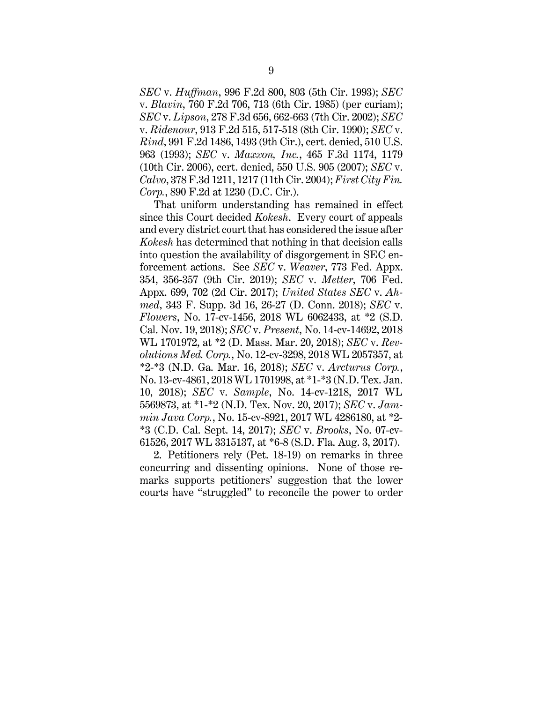*SEC* v. *Huffman*, 996 F.2d 800, 803 (5th Cir. 1993); *SEC*  v. *Blavin*, 760 F.2d 706, 713 (6th Cir. 1985) (per curiam); *SEC* v. *Lipson*, 278 F.3d 656, 662-663 (7th Cir. 2002); *SEC*  v. *Ridenour*, 913 F.2d 515, 517-518 (8th Cir. 1990); *SEC* v. *Rind*, 991 F.2d 1486, 1493 (9th Cir.), cert. denied, 510 U.S. 963 (1993); *SEC* v. *Maxxon, Inc.*, 465 F.3d 1174, 1179 (10th Cir. 2006), cert. denied, 550 U.S. 905 (2007); *SEC* v. *Calvo*, 378 F.3d 1211, 1217 (11th Cir. 2004); *First City Fin. Corp.*, 890 F.2d at 1230 (D.C. Cir.).

That uniform understanding has remained in effect since this Court decided *Kokesh*. Every court of appeals and every district court that has considered the issue after *Kokesh* has determined that nothing in that decision calls into question the availability of disgorgement in SEC enforcement actions. See *SEC* v. *Weaver*, 773 Fed. Appx. 354, 356-357 (9th Cir. 2019); *SEC* v. *Metter*, 706 Fed. Appx. 699, 702 (2d Cir. 2017); *United States SEC* v. *Ahmed*, 343 F. Supp. 3d 16, 26-27 (D. Conn. 2018); *SEC* v. *Flowers*, No. 17-cv-1456, 2018 WL 6062433, at \*2 (S.D. Cal. Nov. 19, 2018); *SEC* v. *Present*, No. 14-cv-14692, 2018 WL 1701972, at \*2 (D. Mass. Mar. 20, 2018); *SEC* v. *Revolutions Med. Corp.*, No. 12-cv-3298, 2018 WL 2057357, at \*2-\*3 (N.D. Ga. Mar. 16, 2018); *SEC* v. *Arcturus Corp.*, No. 13-cv-4861, 2018 WL 1701998, at \*1-\*3 (N.D. Tex. Jan. 10, 2018); *SEC* v. *Sample*, No. 14-cv-1218, 2017 WL 5569873, at \*1-\*2 (N.D. Tex. Nov. 20, 2017); *SEC* v. *Jammin Java Corp.*, No. 15-cv-8921, 2017 WL 4286180, at \*2- \*3 (C.D. Cal. Sept. 14, 2017); *SEC* v. *Brooks*, No. 07-cv-61526, 2017 WL 3315137, at \*6-8 (S.D. Fla. Aug. 3, 2017).

2. Petitioners rely (Pet. 18-19) on remarks in three concurring and dissenting opinions. None of those remarks supports petitioners' suggestion that the lower courts have "struggled" to reconcile the power to order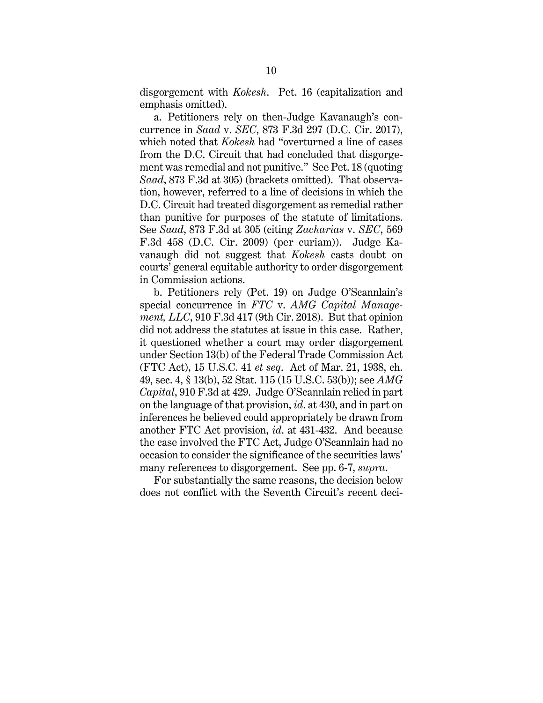disgorgement with *Kokesh*. Pet. 16 (capitalization and emphasis omitted).

a. Petitioners rely on then-Judge Kavanaugh's concurrence in *Saad* v. *SEC*, 873 F.3d 297 (D.C. Cir. 2017), which noted that *Kokesh* had "overturned a line of cases from the D.C. Circuit that had concluded that disgorgement was remedial and not punitive." See Pet. 18 (quoting *Saad*, 873 F.3d at 305) (brackets omitted). That observation, however, referred to a line of decisions in which the D.C. Circuit had treated disgorgement as remedial rather than punitive for purposes of the statute of limitations. See *Saad*, 873 F.3d at 305 (citing *Zacharias* v. *SEC*, 569 F.3d 458 (D.C. Cir. 2009) (per curiam)). Judge Kavanaugh did not suggest that *Kokesh* casts doubt on courts' general equitable authority to order disgorgement in Commission actions.

b. Petitioners rely (Pet. 19) on Judge O'Scannlain's special concurrence in *FTC* v. *AMG Capital Management, LLC*, 910 F.3d 417 (9th Cir. 2018). But that opinion did not address the statutes at issue in this case. Rather, it questioned whether a court may order disgorgement under Section 13(b) of the Federal Trade Commission Act (FTC Act), 15 U.S.C. 41 *et seq*. Act of Mar. 21, 1938, ch. 49, sec. 4, § 13(b), 52 Stat. 115 (15 U.S.C. 53(b)); see *AMG Capital*, 910 F.3d at 429. Judge O'Scannlain relied in part on the language of that provision, *id*. at 430, and in part on inferences he believed could appropriately be drawn from another FTC Act provision, *id*. at 431-432. And because the case involved the FTC Act, Judge O'Scannlain had no occasion to consider the significance of the securities laws' many references to disgorgement. See pp. 6-7, *supra*.

For substantially the same reasons, the decision below does not conflict with the Seventh Circuit's recent deci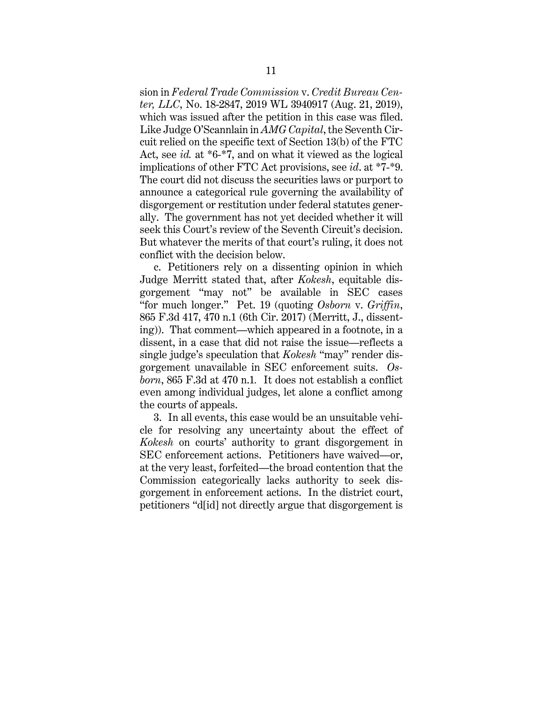sion in *Federal Trade Commission* v. *Credit Bureau Center, LLC*, No. 18-2847, 2019 WL 3940917 (Aug. 21, 2019), which was issued after the petition in this case was filed. Like Judge O'Scannlain in *AMG Capital*, the Seventh Circuit relied on the specific text of Section 13(b) of the FTC Act, see *id.* at \*6-\*7, and on what it viewed as the logical implications of other FTC Act provisions, see *id*. at \*7-\*9. The court did not discuss the securities laws or purport to announce a categorical rule governing the availability of disgorgement or restitution under federal statutes generally. The government has not yet decided whether it will seek this Court's review of the Seventh Circuit's decision. But whatever the merits of that court's ruling, it does not conflict with the decision below.

c. Petitioners rely on a dissenting opinion in which Judge Merritt stated that, after *Kokesh*, equitable disgorgement "may not" be available in SEC cases "for much longer." Pet. 19 (quoting *Osborn* v. *Griffin*, 865 F.3d 417, 470 n.1 (6th Cir. 2017) (Merritt, J., dissenting)). That comment—which appeared in a footnote, in a dissent, in a case that did not raise the issue—reflects a single judge's speculation that *Kokesh* "may" render disgorgement unavailable in SEC enforcement suits. *Osborn*, 865 F.3d at 470 n.1*.* It does not establish a conflict even among individual judges, let alone a conflict among the courts of appeals.

3. In all events, this case would be an unsuitable vehicle for resolving any uncertainty about the effect of *Kokesh* on courts' authority to grant disgorgement in SEC enforcement actions. Petitioners have waived—or, at the very least, forfeited—the broad contention that the Commission categorically lacks authority to seek disgorgement in enforcement actions. In the district court, petitioners "d[id] not directly argue that disgorgement is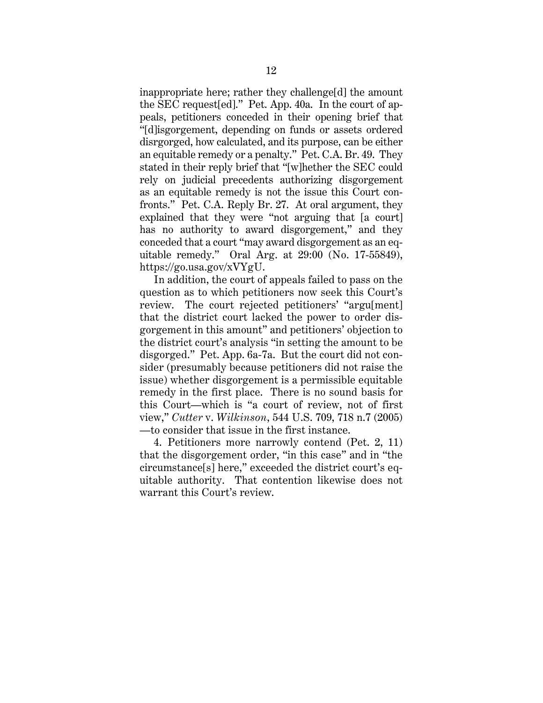inappropriate here; rather they challenge[d] the amount the SEC request[ed]." Pet. App. 40a. In the court of appeals, petitioners conceded in their opening brief that "[d]isgorgement, depending on funds or assets ordered disrgorged, how calculated, and its purpose, can be either an equitable remedy or a penalty." Pet. C.A. Br. 49. They stated in their reply brief that "[w]hether the SEC could rely on judicial precedents authorizing disgorgement as an equitable remedy is not the issue this Court confronts." Pet. C.A. Reply Br. 27. At oral argument, they explained that they were "not arguing that [a court] has no authority to award disgorgement," and they conceded that a court "may award disgorgement as an equitable remedy." Oral Arg. at 29:00 (No. 17-55849), https://go.usa.gov/xVYgU.

In addition, the court of appeals failed to pass on the question as to which petitioners now seek this Court's review. The court rejected petitioners' "argu[ment] that the district court lacked the power to order disgorgement in this amount" and petitioners' objection to the district court's analysis "in setting the amount to be disgorged." Pet. App. 6a-7a. But the court did not consider (presumably because petitioners did not raise the issue) whether disgorgement is a permissible equitable remedy in the first place. There is no sound basis for this Court—which is "a court of review, not of first view," *Cutter* v. *Wilkinson*, 544 U.S. 709, 718 n.7 (2005) —to consider that issue in the first instance.

4. Petitioners more narrowly contend (Pet. 2, 11) that the disgorgement order, "in this case" and in "the circumstance[s] here," exceeded the district court's equitable authority. That contention likewise does not warrant this Court's review.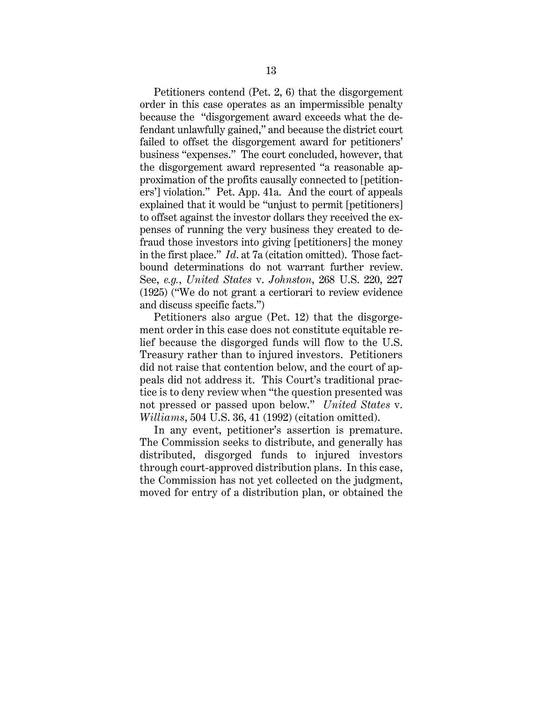Petitioners contend (Pet. 2, 6) that the disgorgement order in this case operates as an impermissible penalty because the "disgorgement award exceeds what the defendant unlawfully gained," and because the district court failed to offset the disgorgement award for petitioners' business "expenses." The court concluded, however, that the disgorgement award represented "a reasonable approximation of the profits causally connected to [petitioners'] violation." Pet. App. 41a. And the court of appeals explained that it would be "unjust to permit [petitioners] to offset against the investor dollars they received the expenses of running the very business they created to defraud those investors into giving [petitioners] the money in the first place." *Id*. at 7a (citation omitted). Those factbound determinations do not warrant further review. See, *e.g.*, *United States* v. *Johnston*, 268 U.S. 220, 227 (1925) ("We do not grant a certiorari to review evidence and discuss specific facts.")

Petitioners also argue (Pet. 12) that the disgorgement order in this case does not constitute equitable relief because the disgorged funds will flow to the U.S. Treasury rather than to injured investors. Petitioners did not raise that contention below, and the court of appeals did not address it. This Court's traditional practice is to deny review when "the question presented was not pressed or passed upon below." *United States* v. *Williams*, 504 U.S. 36, 41 (1992) (citation omitted).

In any event, petitioner's assertion is premature. The Commission seeks to distribute, and generally has distributed, disgorged funds to injured investors through court-approved distribution plans. In this case, the Commission has not yet collected on the judgment, moved for entry of a distribution plan, or obtained the